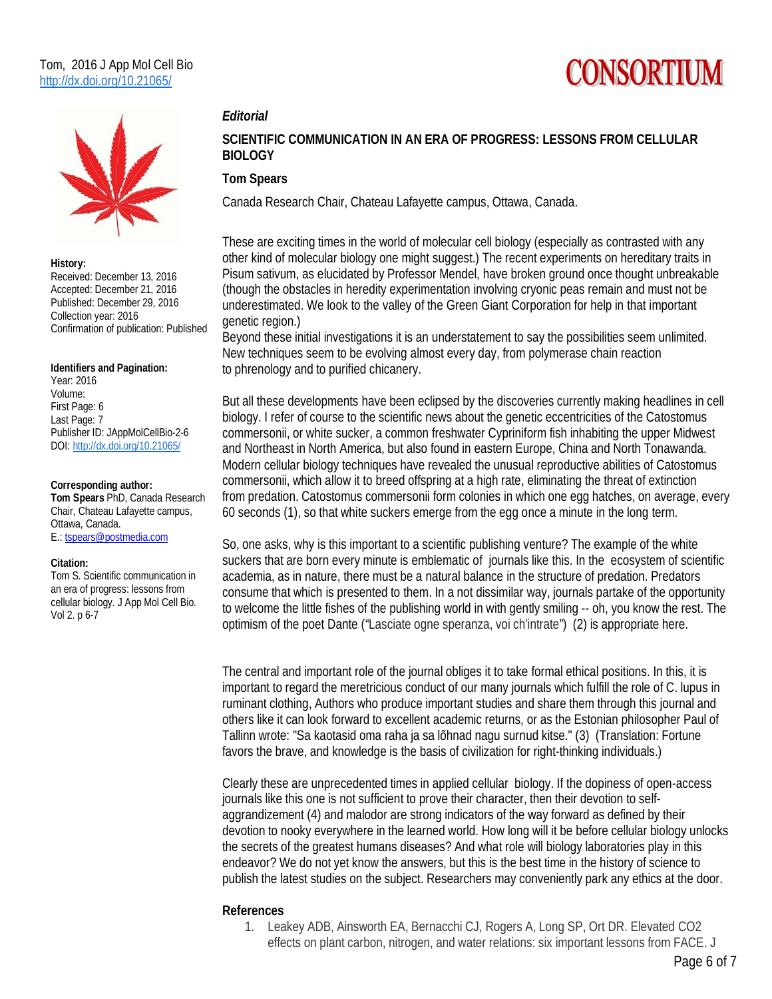# CONSORTIUM



### **History:**

Received: December 13, 2016 Accepted: December 21, 2016 Published: December 29, 2016 Collection year: 2016 Confirmation of publication: Published

#### **Identifiers and Pagination:**

Year: 2016 Volume: First Page: 6 Last Page: 7 Publisher ID: JAppMolCellBio-2-6 DOI: http://dx.doi.org/10.21065/

### **Corresponding author:**

**Tom Spears** PhD, Canada Research Chair, Chateau Lafayette campus, Ottawa, Canada. E.: tspears@postmedia.com

## **Citation:**

Tom S. Scientific communication in an era of progress: lessons from cellular biology. J App Mol Cell Bio. Vol 2. p 6-7

## **SCIENTIFIC COMMUNICATION IN AN ERA OF PROGRESS: LESSONS FROM CELLULAR BIOLOGY**

## **Tom Spears**

*Editorial* 

Canada Research Chair, Chateau Lafayette campus, Ottawa, Canada.

These are exciting times in the world of molecular cell biology (especially as contrasted with any other kind of molecular biology one might suggest.) The recent experiments on hereditary traits in Pisum sativum, as elucidated by Professor Mendel, have broken ground once thought unbreakable (though the obstacles in heredity experimentation involving cryonic peas remain and must not be underestimated. We look to the valley of the Green Giant Corporation for help in that important genetic region.)

Beyond these initial investigations it is an understatement to say the possibilities seem unlimited. New techniques seem to be evolving almost every day, from polymerase chain reaction to phrenology and to purified chicanery.

But all these developments have been eclipsed by the discoveries currently making headlines in cell biology. I refer of course to the scientific news about the genetic eccentricities of the Catostomus commersonii, or white sucker, a common freshwater Cypriniform fish inhabiting the upper Midwest and Northeast in North America, but also found in eastern Europe, China and North Tonawanda. Modern cellular biology techniques have revealed the unusual reproductive abilities of Catostomus commersonii, which allow it to breed offspring at a high rate, eliminating the threat of extinction from predation. Catostomus commersonii form colonies in which one egg hatches, on average, every 60 seconds (1), so that white suckers emerge from the egg once a minute in the long term.

So, one asks, why is this important to a scientific publishing venture? The example of the white suckers that are born every minute is emblematic of journals like this. In the ecosystem of scientific academia, as in nature, there must be a natural balance in the structure of predation. Predators consume that which is presented to them. In a not dissimilar way, journals partake of the opportunity to welcome the little fishes of the publishing world in with gently smiling -- oh, you know the rest. The optimism of the poet Dante ("Lasciate ogne speranza, voi ch'intrate") (2) is appropriate here.

The central and important role of the journal obliges it to take formal ethical positions. In this, it is important to regard the meretricious conduct of our many journals which fulfill the role of C. lupus in ruminant clothing, Authors who produce important studies and share them through this journal and others like it can look forward to excellent academic returns, or as the Estonian philosopher Paul of Tallinn wrote: "Sa kaotasid oma raha ja sa lõhnad nagu surnud kitse." (3) (Translation: Fortune favors the brave, and knowledge is the basis of civilization for right-thinking individuals.)

Clearly these are unprecedented times in applied cellular biology. If the dopiness of open-access journals like this one is not sufficient to prove their character, then their devotion to selfaggrandizement (4) and malodor are strong indicators of the way forward as defined by their devotion to nooky everywhere in the learned world. How long will it be before cellular biology unlocks the secrets of the greatest humans diseases? And what role will biology laboratories play in this endeavor? We do not yet know the answers, but this is the best time in the history of science to publish the latest studies on the subject. Researchers may conveniently park any ethics at the door.

## **References**

1. Leakey ADB, Ainsworth EA, Bernacchi CJ, Rogers A, Long SP, Ort DR. Elevated CO2 effects on plant carbon, nitrogen, and water relations: six important lessons from FACE. J